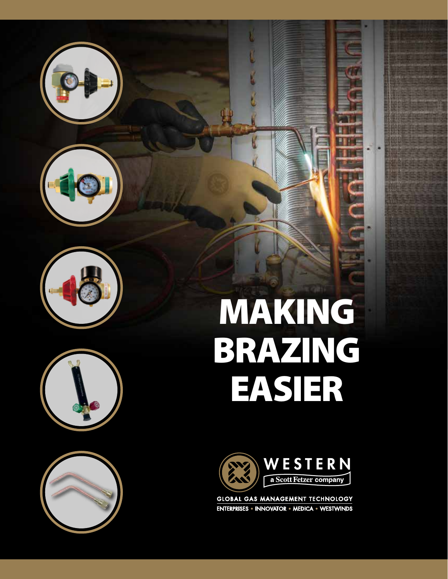









# making BRAZING easier



**GLOBAL GAS MANAGEMENT TECHNOLOGY** ENTERPRISES . INNOVATOR . MEDICA . WESTWINDS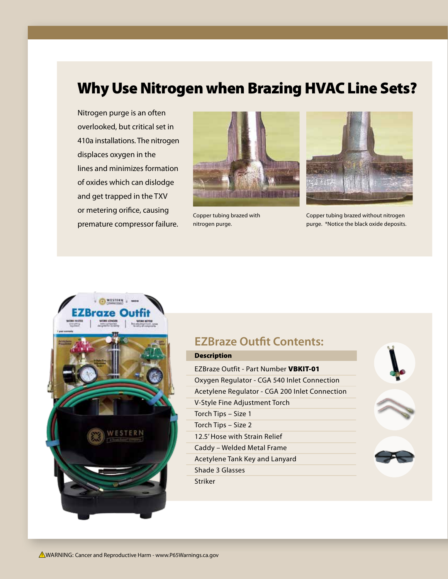## Why Use Nitrogen when Brazing HVAC Line Sets?

Nitrogen purge is an often overlooked, but critical set in 410a installations. The nitrogen displaces oxygen in the lines and minimizes formation of oxides which can dislodge and get trapped in the TXV or metering orifice, causing premature compressor failure.



Copper tubing brazed with nitrogen purge.



Copper tubing brazed without nitrogen purge. \*Notice the black oxide deposits.



### **EZBraze Outfit Contents:**

#### Description

EZBraze Outfit - Part Number VBKIT-01 Oxygen Regulator - CGA 540 Inlet Connection Acetylene Regulator - CGA 200 Inlet Connection V-Style Fine Adjustment Torch Torch Tips – Size 1 Torch Tips – Size 2 12.5' Hose with Strain Relief Caddy – Welded Metal Frame Acetylene Tank Key and Lanyard Shade 3 Glasses Striker

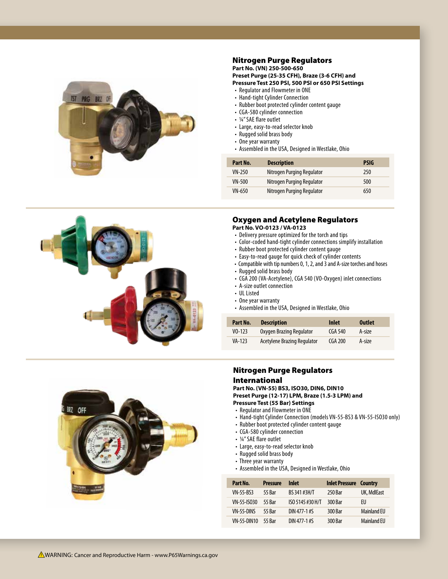

#### Nitrogen Purge Regulators

**Part No. (VN) 250-500-650 Preset Purge (25-35 CFH), Braze (3-6 CFH) and Pressure Test 250 PSI, 500 PSI or 650 PSI Settings**

- Regulator and Flowmeter in ONE
- Hand-tight Cylinder Connection
- Rubber boot protected cylinder content gauge
- CGA-580 cylinder connection
- ¼" SAE flare outlet
- Large, easy-to-read selector knob
- Rugged solid brass body
- One year warranty
- Assembled in the USA, Designed in Westlake, Ohio

| Part No.      | <b>Description</b>         | <b>PSIG</b> |
|---------------|----------------------------|-------------|
| VN-250        | Nitrogen Purging Regulator | 250         |
| VN-500        | Nitrogen Purging Regulator | 500         |
| <b>VN-650</b> | Nitrogen Purging Regulator | 650         |



#### Oxygen and Acetylene Regulators

**Part No. VO-0123 / VA-0123**

- Delivery pressure optimized for the torch and tips
- Color-coded hand-tight cylinder connections simplify installation
- Rubber boot protected cylinder content gauge
- Easy-to-read gauge for quick check of cylinder contents
- Compatible with tip numbers 0, 1, 2, and 3 and A-size torches and hoses
- Rugged solid brass body
- CGA 200 (VA-Acetylene), CGA 540 (VO-Oxygen) inlet connections
- A-size outlet connection
- UL Listed
- One year warranty
- Assembled in the USA, Designed in Westlake, Ohio

| Part No.    | <b>Description</b>          | Inlet   | <b>Outlet</b> |
|-------------|-----------------------------|---------|---------------|
| $V_0 - 123$ | Oxygen Brazing Regulator    | CGA 540 | A-size        |
| VA-123      | Acetylene Brazing Regulator | CGA 200 | A-size        |



#### Nitrogen Purge Regulators International

**Part No. (VN-55) BS3, ISO30, DIN6, DIN10 Preset Purge (12-17) LPM, Braze (1.5-3 LPM) and Pressure Test (55 Bar) Settings**

- Regulator and Flowmeter in ONE
- Hand-tight Cylinder Connection (models VN-55-BS3 & VN-55-ISO30 only)
- Rubber boot protected cylinder content gauge
- CGA-580 cylinder connection
- ¼" SAE flare outlet
- Large, easy-to-read selector knob
- Rugged solid brass body
- Three year warranty
- Assembled in the USA, Designed in Westlake, Ohio

| Part No.         | <b>Pressure</b> | Inlet            | <b>Inlet Pressure Country</b> |                    |
|------------------|-----------------|------------------|-------------------------------|--------------------|
| <b>VN-55-BS3</b> | <b>55 Bar</b>   | BS 341 #3H/T     | 250 Bar                       | UK, MdlEast        |
| VN-55-ISO30      | 55 Rar          | ISO 5145 #30 H/T | 300 Bar                       | FU                 |
| VN-55-DINS       | 55 Rar          | DIN 477-1#S      | 300 Bar                       | <b>Mainland EU</b> |
| VN-55-DIN10      | <b>55 Bar</b>   | DIN 477-1#S      | 300 Bar                       | <b>Mainland FU</b> |